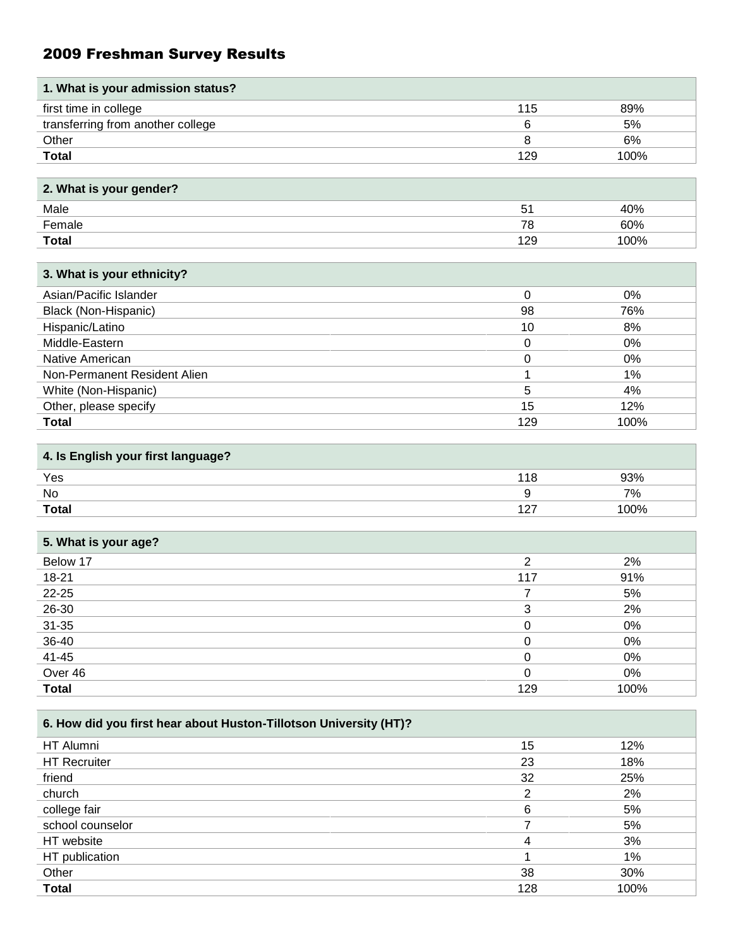# 2009 Freshman Survey Results

| 1. What is your admission status? |     |       |
|-----------------------------------|-----|-------|
| first time in college             | 115 | 89%   |
| transferring from another college | 6   | 5%    |
| Other                             | 8   | 6%    |
| <b>Total</b>                      | 129 | 100%  |
|                                   |     |       |
| 2. What is your gender?           |     |       |
| Male                              | 51  | 40%   |
| Female                            | 78  | 60%   |
| <b>Total</b>                      | 129 | 100%  |
|                                   |     |       |
| 3. What is your ethnicity?        |     |       |
| Asian/Pacific Islander            | 0   | $0\%$ |
| Black (Non-Hispanic)              | 98  | 76%   |
| Hispanic/Latino                   | 10  | 8%    |
| Middle-Eastern                    | 0   | 0%    |
| Native American                   | 0   | 0%    |
| Non-Permanent Resident Alien      |     | $1\%$ |
| White (Non-Hispanic)              | 5   | 4%    |
| Other, please specify             | 15  | 12%   |
| <b>Total</b>                      | 129 | 100%  |

| 4. Is English your first language? |        |
|------------------------------------|--------|
| Yes                                | 93%    |
| No                                 | 7%     |
| <b>Total</b>                       | '  በበ% |

| 5. What is your age? |     |      |
|----------------------|-----|------|
| Below 17             | ⌒   | 2%   |
| 18-21                | 117 | 91%  |
| $22 - 25$            |     | 5%   |
| 26-30                |     | 2%   |
| $31 - 35$            |     | 0%   |
| 36-40                |     | 0%   |
| $41 - 45$            |     | 0%   |
| Over 46              |     | 0%   |
| <b>Total</b>         | 129 | 100% |

| 6. How did you first hear about Huston-Tillotson University (HT)? |     |      |
|-------------------------------------------------------------------|-----|------|
| HT Alumni                                                         | 15  | 12%  |
| <b>HT Recruiter</b>                                               | 23  | 18%  |
| friend                                                            | 32  | 25%  |
| church                                                            | ົ   | 2%   |
| college fair                                                      | 6   | 5%   |
| school counselor                                                  |     | 5%   |
| HT website                                                        | 4   | 3%   |
| HT publication                                                    |     | 1%   |
| Other                                                             | 38  | 30%  |
| <b>Total</b>                                                      | 128 | 100% |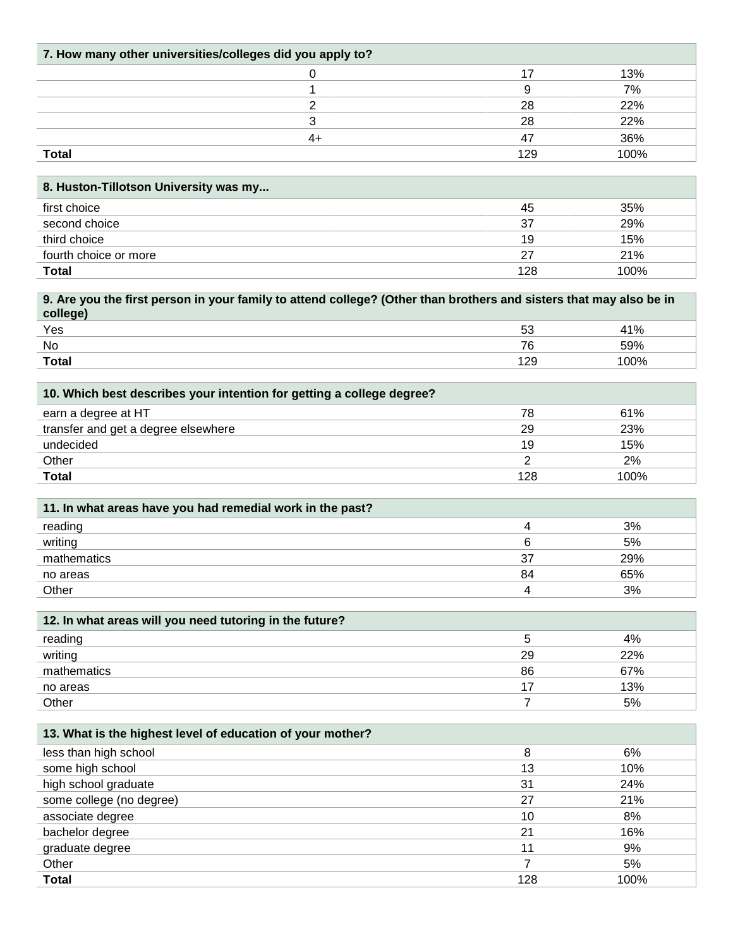| 7. How many other universities/colleges did you apply to?                                                                      |                |            |
|--------------------------------------------------------------------------------------------------------------------------------|----------------|------------|
| 0                                                                                                                              | 17             | 13%        |
| 1                                                                                                                              | 9              | 7%         |
| $\overline{2}$                                                                                                                 | 28             | 22%        |
| 3                                                                                                                              | 28             | 22%        |
| $4+$                                                                                                                           | 47             | 36%        |
| <b>Total</b>                                                                                                                   | 129            | 100%       |
|                                                                                                                                |                |            |
| 8. Huston-Tillotson University was my                                                                                          |                |            |
| first choice                                                                                                                   | 45             | 35%        |
| second choice                                                                                                                  | 37             | 29%        |
| third choice                                                                                                                   | 19             | 15%        |
| fourth choice or more                                                                                                          | 27             | 21%        |
| <b>Total</b>                                                                                                                   | 128            | 100%       |
| 9. Are you the first person in your family to attend college? (Other than brothers and sisters that may also be in<br>college) |                |            |
| Yes                                                                                                                            | 53             | 41%        |
| No                                                                                                                             | 76             | 59%        |
| <b>Total</b>                                                                                                                   | 129            | 100%       |
|                                                                                                                                |                |            |
| 10. Which best describes your intention for getting a college degree?                                                          |                |            |
| earn a degree at HT                                                                                                            | 78             | 61%        |
| transfer and get a degree elsewhere                                                                                            | 29             | 23%        |
| undecided                                                                                                                      | 19             | 15%        |
| Other                                                                                                                          | 2              | 2%         |
| <b>Total</b>                                                                                                                   | 128            | 100%       |
| 11. In what areas have you had remedial work in the past?                                                                      |                |            |
| reading                                                                                                                        | 4              | 3%         |
| writing                                                                                                                        | 6              | 5%         |
| mathematics                                                                                                                    | 37             | 29%        |
| no areas                                                                                                                       | 84             | 65%        |
| Other                                                                                                                          | 4              | 3%         |
|                                                                                                                                |                |            |
| 12. In what areas will you need tutoring in the future?                                                                        |                |            |
| reading                                                                                                                        | 5              | 4%         |
| writing<br>mathematics                                                                                                         | 29<br>86       | 22%<br>67% |
| no areas                                                                                                                       | 17             | 13%        |
| Other                                                                                                                          | $\overline{7}$ | 5%         |
|                                                                                                                                |                |            |
| 13. What is the highest level of education of your mother?                                                                     |                |            |
| less than high school                                                                                                          | 8              | 6%         |
| some high school                                                                                                               | 13             | 10%        |
| high school graduate                                                                                                           | 31<br>27       | 24%        |
| some college (no degree)                                                                                                       |                | 21%        |
| associate degree                                                                                                               | 10<br>21       | 8%<br>16%  |
| bachelor degree<br>graduate degree                                                                                             | 11             | 9%         |
| Other                                                                                                                          | $\overline{7}$ | 5%         |
| <b>Total</b>                                                                                                                   | 128            | 100%       |
|                                                                                                                                |                |            |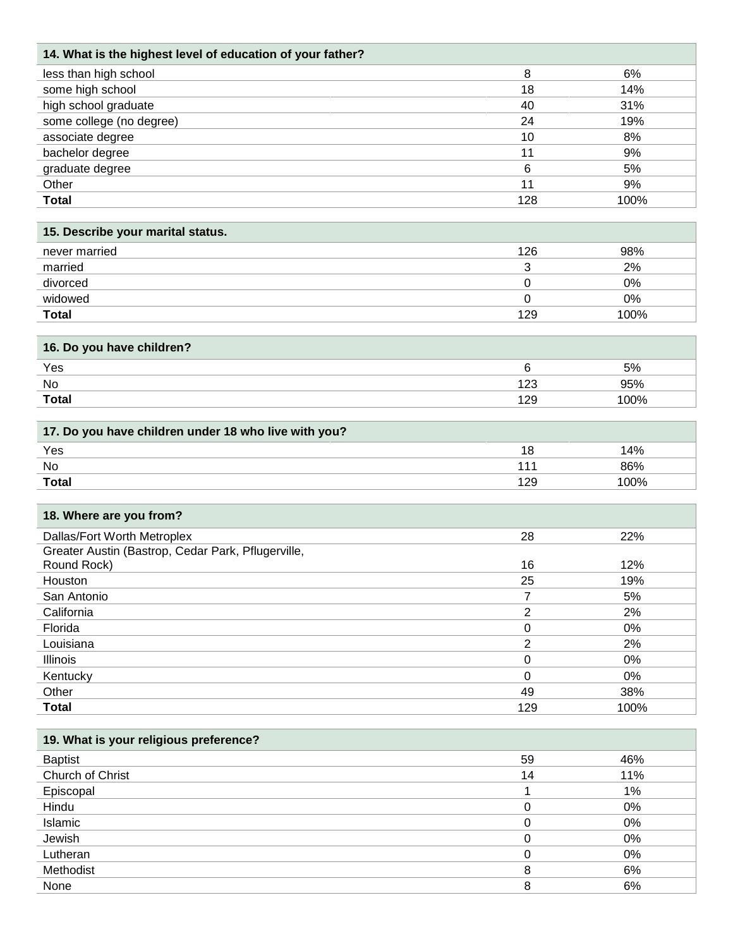| 14. What is the highest level of education of your father? |      |
|------------------------------------------------------------|------|
| less than high school<br>8                                 | 6%   |
| some high school<br>18                                     | 14%  |
| high school graduate<br>40                                 | 31%  |
| some college (no degree)<br>24                             | 19%  |
| associate degree<br>10                                     | 8%   |
| bachelor degree<br>11                                      | 9%   |
| graduate degree<br>6                                       | 5%   |
| Other<br>11                                                | 9%   |
| <b>Total</b><br>128                                        | 100% |

| 15. Describe your marital status. |     |      |
|-----------------------------------|-----|------|
| never married                     | 126 | 98%  |
| married                           |     | 2%   |
| divorced                          |     | 0%   |
| widowed                           |     | 0%   |
| <b>Total</b>                      | 129 | 100% |

| 16. Do you have children? |         |
|---------------------------|---------|
| Yes                       | 5%      |
| No                        | 95%     |
| <b>Total</b>              | $100\%$ |

| 17. Do you have children under 18 who live with you? |     |      |
|------------------------------------------------------|-----|------|
| Yes                                                  |     | 4% ا |
| No                                                   |     | 86%  |
| <b>Total</b>                                         | 129 | '00% |

| 18. Where are you from?                            |          |      |
|----------------------------------------------------|----------|------|
| Dallas/Fort Worth Metroplex                        | 28       | 22%  |
| Greater Austin (Bastrop, Cedar Park, Pflugerville, |          |      |
| Round Rock)                                        | 16       | 12%  |
| Houston                                            | 25       | 19%  |
| San Antonio                                        | 7        | 5%   |
| California                                         | 2        | 2%   |
| Florida                                            | 0        | 0%   |
| Louisiana                                          | っ        | 2%   |
| <b>Illinois</b>                                    | 0        | 0%   |
| Kentucky                                           | $\Omega$ | 0%   |
| Other                                              | 49       | 38%  |
| <b>Total</b>                                       | 129      | 100% |

| 19. What is your religious preference? |  |
|----------------------------------------|--|
|----------------------------------------|--|

| <b>Baptist</b>   | 59 | 46% |
|------------------|----|-----|
| Church of Christ | 14 | 11% |
| Episcopal        |    | 1%  |
| Hindu            |    | 0%  |
| Islamic          |    | 0%  |
| Jewish           |    | 0%  |
| Lutheran         |    | 0%  |
| Methodist        | 8  | 6%  |
| None             |    | 6%  |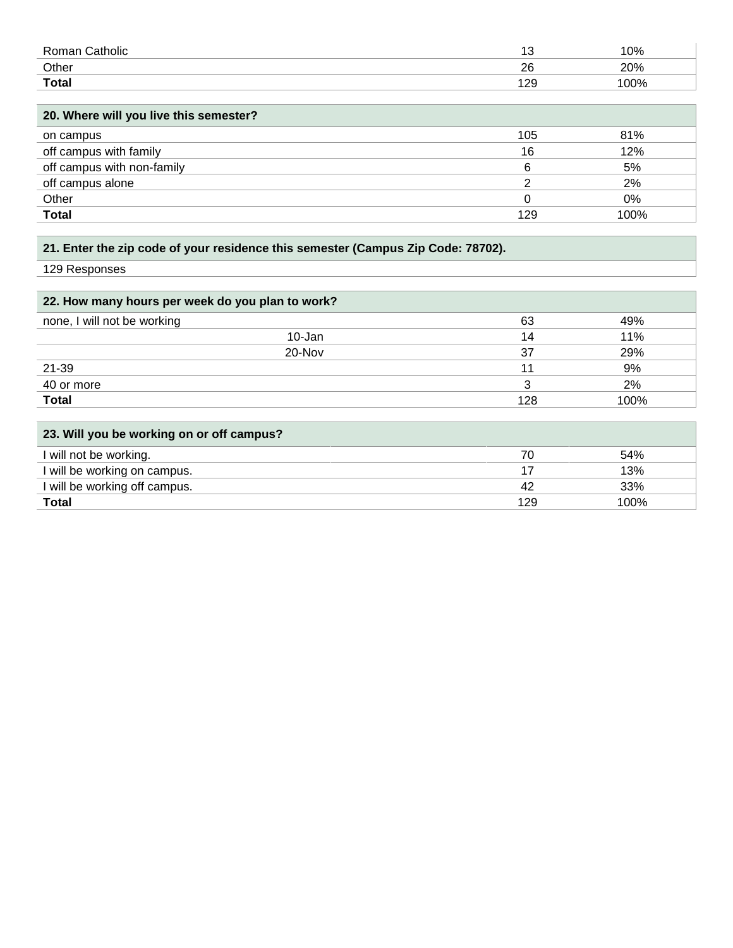| Roman Catholic                         | 13  | 10%  |
|----------------------------------------|-----|------|
| Other                                  | 26  | 20%  |
| <b>Total</b>                           | 129 | 100% |
|                                        |     |      |
| 20. Where will you live this semester? |     |      |
| on campus                              | 105 | 81%  |
| off campus with family                 | 16  | 12%  |
| off campus with non-family             | 6   | 5%   |
| off campus alone                       | っ   | 2%   |
| Other                                  | 0   | 0%   |
| <b>Total</b>                           | 129 | 100% |

# **21. Enter the zip code of your residence this semester (Campus Zip Code: 78702).**

129 Responses

| 22. How many hours per week do you plan to work? |     |      |
|--------------------------------------------------|-----|------|
| none, I will not be working                      | 63  | 49%  |
| 10-Jan                                           | 14  | 11%  |
| 20-Nov                                           | 37  | 29%  |
| 21-39                                            | 11  | 9%   |
| 40 or more                                       |     | 2%   |
| <b>Total</b>                                     | 128 | 100% |

| 23. Will you be working on or off campus? |     |      |
|-------------------------------------------|-----|------|
| I will not be working.                    | 70  | 54%  |
| I will be working on campus.              |     | 13%  |
| I will be working off campus.             | 42  | 33%  |
| <b>Total</b>                              | 129 | 100% |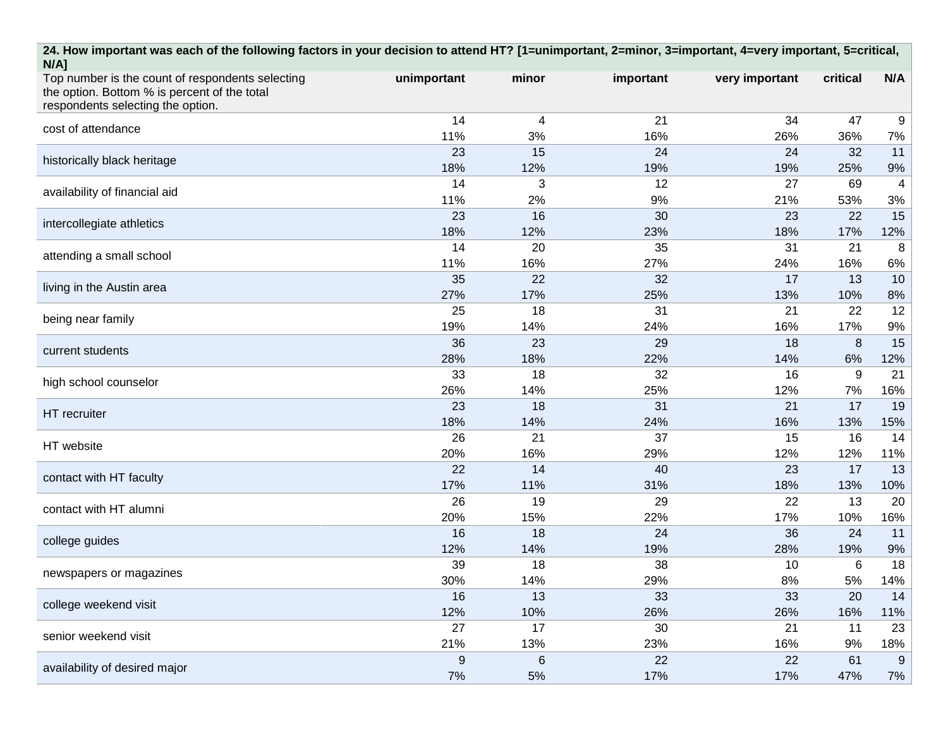| 24. How important was each of the following factors in your decision to attend HT? [1=unimportant, 2=minor, 3=important, 4=very important, 5=critical,<br>$N/A$ ] |                  |              |           |                |          |          |  |  |  |
|-------------------------------------------------------------------------------------------------------------------------------------------------------------------|------------------|--------------|-----------|----------------|----------|----------|--|--|--|
| Top number is the count of respondents selecting                                                                                                                  | unimportant      | minor        | important | very important | critical | N/A      |  |  |  |
| the option. Bottom % is percent of the total<br>respondents selecting the option.                                                                                 |                  |              |           |                |          |          |  |  |  |
|                                                                                                                                                                   | 14               | 4            | 21        | 34             | 47       | 9        |  |  |  |
| cost of attendance                                                                                                                                                | 11%              | 3%           | 16%       | 26%            | 36%      | 7%       |  |  |  |
| historically black heritage                                                                                                                                       | 23               | 15           | 24        | 24             | 32       | 11       |  |  |  |
|                                                                                                                                                                   | 18%              | 12%          | 19%       | 19%            | 25%      | 9%       |  |  |  |
| availability of financial aid                                                                                                                                     | 14               | 3            | 12        | 27             | 69       | 4        |  |  |  |
|                                                                                                                                                                   | 11%              | 2%           | 9%        | 21%            | 53%      | 3%       |  |  |  |
| intercollegiate athletics                                                                                                                                         | 23               | 16           | 30        | 23             | 22       | 15       |  |  |  |
|                                                                                                                                                                   | 18%              | 12%          | 23%       | 18%            | 17%      | 12%      |  |  |  |
| attending a small school                                                                                                                                          | 14               | 20           | 35        | 31             | 21       | 8        |  |  |  |
|                                                                                                                                                                   | 11%              | 16%          | 27%       | 24%            | 16%      | 6%       |  |  |  |
| living in the Austin area                                                                                                                                         | 35               | 22           | 32        | 17             | 13       | 10       |  |  |  |
|                                                                                                                                                                   | 27%              | 17%          | 25%       | 13%            | 10%      | 8%       |  |  |  |
| being near family                                                                                                                                                 | 25               | 18           | 31        | 21             | 22       | 12       |  |  |  |
|                                                                                                                                                                   | 19%<br>36        | 14%<br>23    | 24%<br>29 | 16%<br>18      | 17%<br>8 | 9%<br>15 |  |  |  |
| current students                                                                                                                                                  | 28%              | 18%          | 22%       | 14%            | 6%       | 12%      |  |  |  |
|                                                                                                                                                                   | 33               | 18           | 32        | 16             | 9        | 21       |  |  |  |
| high school counselor                                                                                                                                             | 26%              | 14%          | 25%       | 12%            | 7%       | 16%      |  |  |  |
|                                                                                                                                                                   | 23               | 18           | 31        | 21             | 17       | 19       |  |  |  |
| HT recruiter                                                                                                                                                      | 18%              | 14%          | 24%       | 16%            | 13%      | 15%      |  |  |  |
| HT website                                                                                                                                                        | 26               | 21           | 37        | 15             | 16       | 14       |  |  |  |
|                                                                                                                                                                   | 20%              | 16%          | 29%       | 12%            | 12%      | 11%      |  |  |  |
| contact with HT faculty                                                                                                                                           | 22               | 14           | 40        | 23             | 17       | 13       |  |  |  |
|                                                                                                                                                                   | 17%              | 11%          | 31%       | 18%            | 13%      | 10%      |  |  |  |
| contact with HT alumni                                                                                                                                            | 26               | 19           | 29        | 22             | 13       | 20       |  |  |  |
|                                                                                                                                                                   | 20%              | 15%          | 22%       | 17%            | 10%      | 16%      |  |  |  |
| college guides                                                                                                                                                    | 16               | 18           | 24        | 36             | 24       | 11       |  |  |  |
|                                                                                                                                                                   | 12%              | 14%          | 19%       | 28%            | 19%      | 9%       |  |  |  |
| newspapers or magazines                                                                                                                                           | 39               | 18           | 38        | 10             | 6        | 18       |  |  |  |
|                                                                                                                                                                   | 30%              | 14%          | 29%       | 8%             | 5%       | 14%      |  |  |  |
| college weekend visit                                                                                                                                             | 16               | 13           | 33        | 33             | 20       | 14       |  |  |  |
|                                                                                                                                                                   | 12%              | 10%          | 26%       | 26%            | 16%      | 11%      |  |  |  |
| senior weekend visit                                                                                                                                              | 27<br>21%        | 17           | 30<br>23% | 21             | 11       | 23       |  |  |  |
|                                                                                                                                                                   | $\boldsymbol{9}$ | 13%<br>$\,6$ | 22        | 16%<br>22      | 9%<br>61 | 18%<br>9 |  |  |  |
| availability of desired major                                                                                                                                     | 7%               | 5%           | 17%       | 17%            | 47%      | 7%       |  |  |  |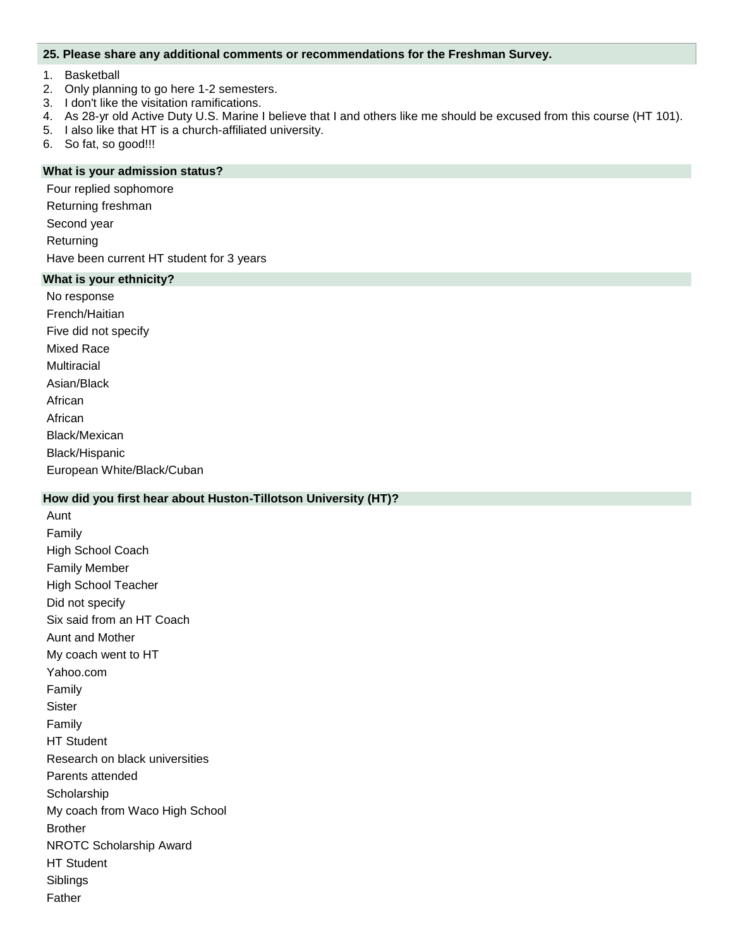#### **25. Please share any additional comments or recommendations for the Freshman Survey.**

- 1. Basketball
- 2. Only planning to go here 1-2 semesters.
- 3. I don't like the visitation ramifications.
- 4. As 28-yr old Active Duty U.S. Marine I believe that I and others like me should be excused from this course (HT 101).
- 5. I also like that HT is a church-affiliated university.
- 6. So fat, so good!!!

#### **What is your admission status?**

Four replied sophomore

Returning freshman

Second year

**Returning** 

Have been current HT student for 3 years

# **What is your ethnicity?**

No response French/Haitian Five did not specify Mixed Race **Multiracial** Asian/Black African African Black/Mexican Black/Hispanic

European White/Black/Cuban

# **How did you first hear about Huston-Tillotson University (HT)?**

Aunt Family High School Coach Family Member High School Teacher Did not specify Six said from an HT Coach Aunt and Mother My coach went to HT Yahoo.com Family **Sister** Family HT Student Research on black universities Parents attended **Scholarship** My coach from Waco High School Brother NROTC Scholarship Award HT Student Siblings Father